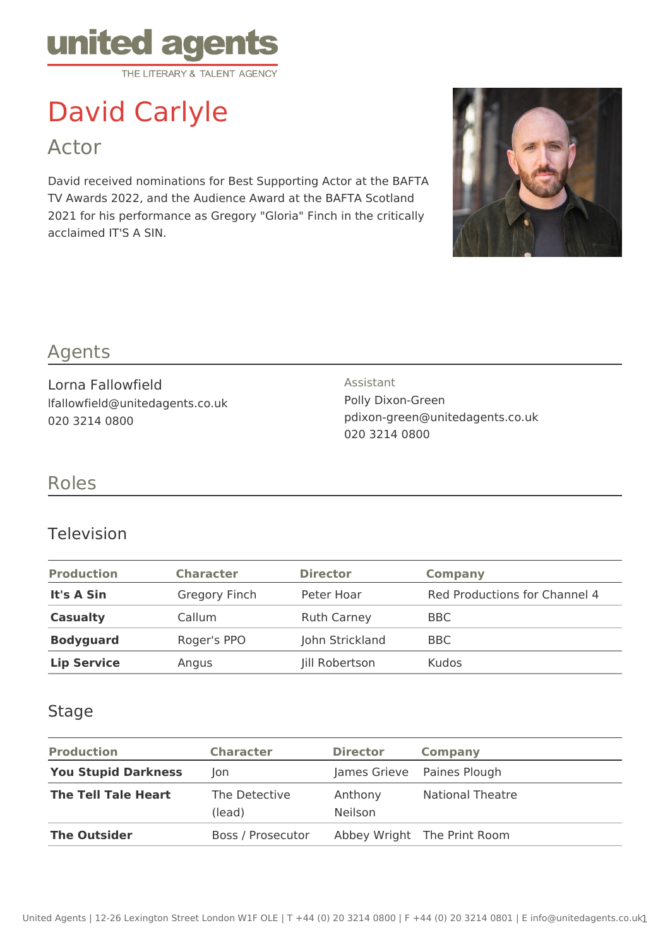

# David Carlyle

Actor

David received nominations for Best Supporting Actor at the BAFTA TV Awards 2022, and the Audience Award at the BAFTA Scotland 2021 for his performance as Gregory "Gloria" Finch in the critically acclaimed IT'S A SIN.



## Agents

Lorna Fallowfield lfallowfield@unitedagents.co.uk 020 3214 0800

Assistant Polly Dixon-Green pdixon-green@unitedagents.co.uk 020 3214 0800

## Roles

### Television

| <b>Production</b>  | <b>Character</b> | <b>Director</b>    | Company                       |
|--------------------|------------------|--------------------|-------------------------------|
| It's A Sin         | Gregory Finch    | Peter Hoar         | Red Productions for Channel 4 |
| <b>Casualty</b>    | Callum           | <b>Ruth Carney</b> | <b>BBC</b>                    |
| <b>Bodyguard</b>   | Roger's PPO      | John Strickland    | BBC                           |
| <b>Lip Service</b> | Angus            | Jill Robertson     | <b>Kudos</b>                  |

#### Stage

| <b>Production</b>          | <b>Character</b>        | <b>Director</b>           | <b>Company</b>              |  |
|----------------------------|-------------------------|---------------------------|-----------------------------|--|
| <b>You Stupid Darkness</b> | Jon                     |                           | James Grieve Paines Plough  |  |
| <b>The Tell Tale Heart</b> | The Detective<br>(lead) | Anthony<br><b>Neilson</b> | <b>National Theatre</b>     |  |
| <b>The Outsider</b>        | Boss / Prosecutor       |                           | Abbey Wright The Print Room |  |